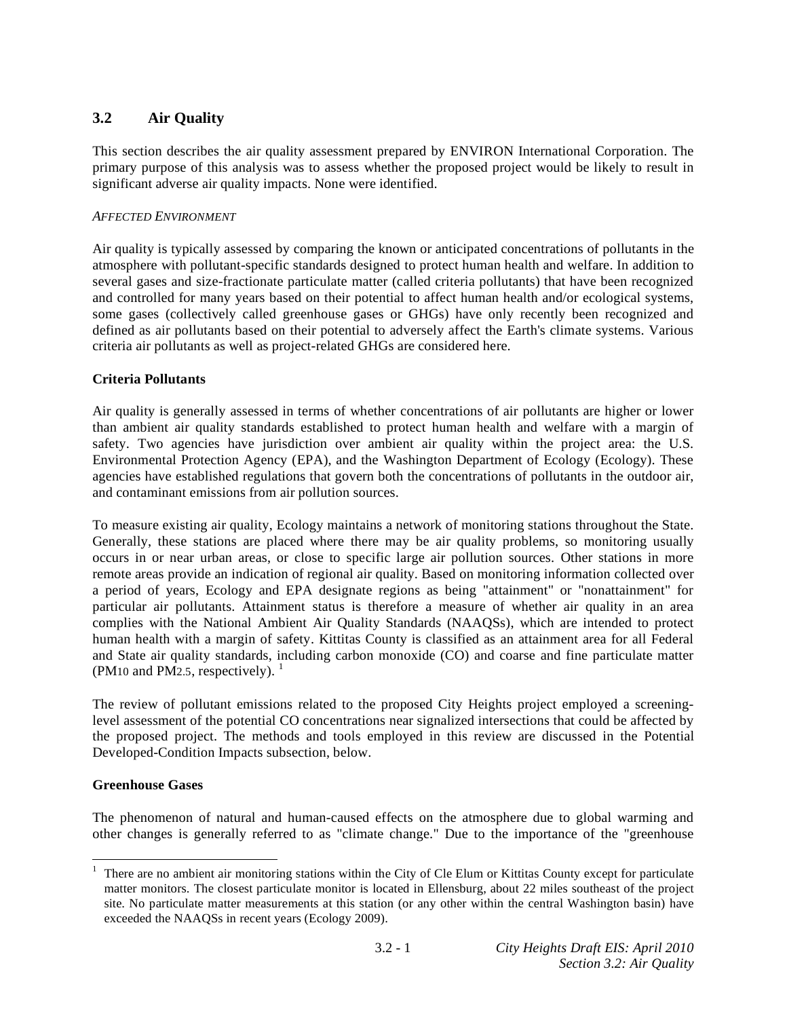# **3.2 Air Quality**

This section describes the air quality assessment prepared by ENVIRON International Corporation. The primary purpose of this analysis was to assess whether the proposed project would be likely to result in significant adverse air quality impacts. None were identified.

# *AFFECTED ENVIRONMENT*

Air quality is typically assessed by comparing the known or anticipated concentrations of pollutants in the atmosphere with pollutant-specific standards designed to protect human health and welfare. In addition to several gases and size-fractionate particulate matter (called criteria pollutants) that have been recognized and controlled for many years based on their potential to affect human health and/or ecological systems, some gases (collectively called greenhouse gases or GHGs) have only recently been recognized and defined as air pollutants based on their potential to adversely affect the Earth's climate systems. Various criteria air pollutants as well as project-related GHGs are considered here.

# **Criteria Pollutants**

Air quality is generally assessed in terms of whether concentrations of air pollutants are higher or lower than ambient air quality standards established to protect human health and welfare with a margin of safety. Two agencies have jurisdiction over ambient air quality within the project area: the U.S. Environmental Protection Agency (EPA), and the Washington Department of Ecology (Ecology). These agencies have established regulations that govern both the concentrations of pollutants in the outdoor air, and contaminant emissions from air pollution sources.

To measure existing air quality, Ecology maintains a network of monitoring stations throughout the State. Generally, these stations are placed where there may be air quality problems, so monitoring usually occurs in or near urban areas, or close to specific large air pollution sources. Other stations in more remote areas provide an indication of regional air quality. Based on monitoring information collected over a period of years, Ecology and EPA designate regions as being "attainment" or "nonattainment" for particular air pollutants. Attainment status is therefore a measure of whether air quality in an area complies with the National Ambient Air Quality Standards (NAAQSs), which are intended to protect human health with a margin of safety. Kittitas County is classified as an attainment area for all Federal and State air quality standards, including carbon monoxide (CO) and coarse and fine particulate matter (PM10 and PM2.5, respectively).  $<sup>1</sup>$ </sup>

The review of pollutant emissions related to the proposed City Heights project employed a screeninglevel assessment of the potential CO concentrations near signalized intersections that could be affected by the proposed project. The methods and tools employed in this review are discussed in the Potential Developed-Condition Impacts subsection, below.

# **Greenhouse Gases**

1

The phenomenon of natural and human-caused effects on the atmosphere due to global warming and other changes is generally referred to as "climate change." Due to the importance of the "greenhouse

<sup>1</sup> There are no ambient air monitoring stations within the City of Cle Elum or Kittitas County except for particulate matter monitors. The closest particulate monitor is located in Ellensburg, about 22 miles southeast of the project site. No particulate matter measurements at this station (or any other within the central Washington basin) have exceeded the NAAQSs in recent years (Ecology 2009).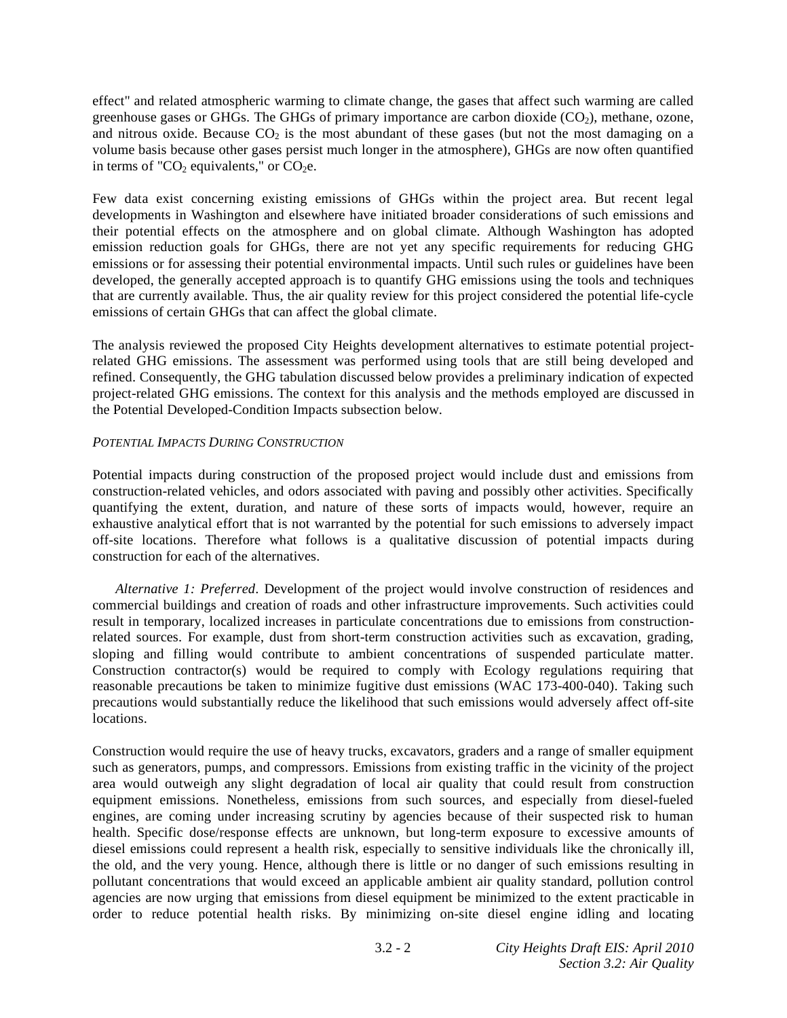effect" and related atmospheric warming to climate change, the gases that affect such warming are called greenhouse gases or GHGs. The GHGs of primary importance are carbon dioxide  $(CO<sub>2</sub>)$ , methane, ozone, and nitrous oxide. Because  $CO<sub>2</sub>$  is the most abundant of these gases (but not the most damaging on a volume basis because other gases persist much longer in the atmosphere), GHGs are now often quantified in terms of " $CO<sub>2</sub>$  equivalents," or  $CO<sub>2</sub>e$ .

Few data exist concerning existing emissions of GHGs within the project area. But recent legal developments in Washington and elsewhere have initiated broader considerations of such emissions and their potential effects on the atmosphere and on global climate. Although Washington has adopted emission reduction goals for GHGs, there are not yet any specific requirements for reducing GHG emissions or for assessing their potential environmental impacts. Until such rules or guidelines have been developed, the generally accepted approach is to quantify GHG emissions using the tools and techniques that are currently available. Thus, the air quality review for this project considered the potential life-cycle emissions of certain GHGs that can affect the global climate.

The analysis reviewed the proposed City Heights development alternatives to estimate potential projectrelated GHG emissions. The assessment was performed using tools that are still being developed and refined. Consequently, the GHG tabulation discussed below provides a preliminary indication of expected project-related GHG emissions. The context for this analysis and the methods employed are discussed in the Potential Developed-Condition Impacts subsection below.

## *POTENTIAL IMPACTS DURING CONSTRUCTION*

Potential impacts during construction of the proposed project would include dust and emissions from construction-related vehicles, and odors associated with paving and possibly other activities. Specifically quantifying the extent, duration, and nature of these sorts of impacts would, however, require an exhaustive analytical effort that is not warranted by the potential for such emissions to adversely impact off-site locations. Therefore what follows is a qualitative discussion of potential impacts during construction for each of the alternatives.

*Alternative 1: Preferred*. Development of the project would involve construction of residences and commercial buildings and creation of roads and other infrastructure improvements. Such activities could result in temporary, localized increases in particulate concentrations due to emissions from constructionrelated sources. For example, dust from short-term construction activities such as excavation, grading, sloping and filling would contribute to ambient concentrations of suspended particulate matter. Construction contractor(s) would be required to comply with Ecology regulations requiring that reasonable precautions be taken to minimize fugitive dust emissions (WAC 173-400-040). Taking such precautions would substantially reduce the likelihood that such emissions would adversely affect off-site locations.

Construction would require the use of heavy trucks, excavators, graders and a range of smaller equipment such as generators, pumps, and compressors. Emissions from existing traffic in the vicinity of the project area would outweigh any slight degradation of local air quality that could result from construction equipment emissions. Nonetheless, emissions from such sources, and especially from diesel-fueled engines, are coming under increasing scrutiny by agencies because of their suspected risk to human health. Specific dose/response effects are unknown, but long-term exposure to excessive amounts of diesel emissions could represent a health risk, especially to sensitive individuals like the chronically ill, the old, and the very young. Hence, although there is little or no danger of such emissions resulting in pollutant concentrations that would exceed an applicable ambient air quality standard, pollution control agencies are now urging that emissions from diesel equipment be minimized to the extent practicable in order to reduce potential health risks. By minimizing on-site diesel engine idling and locating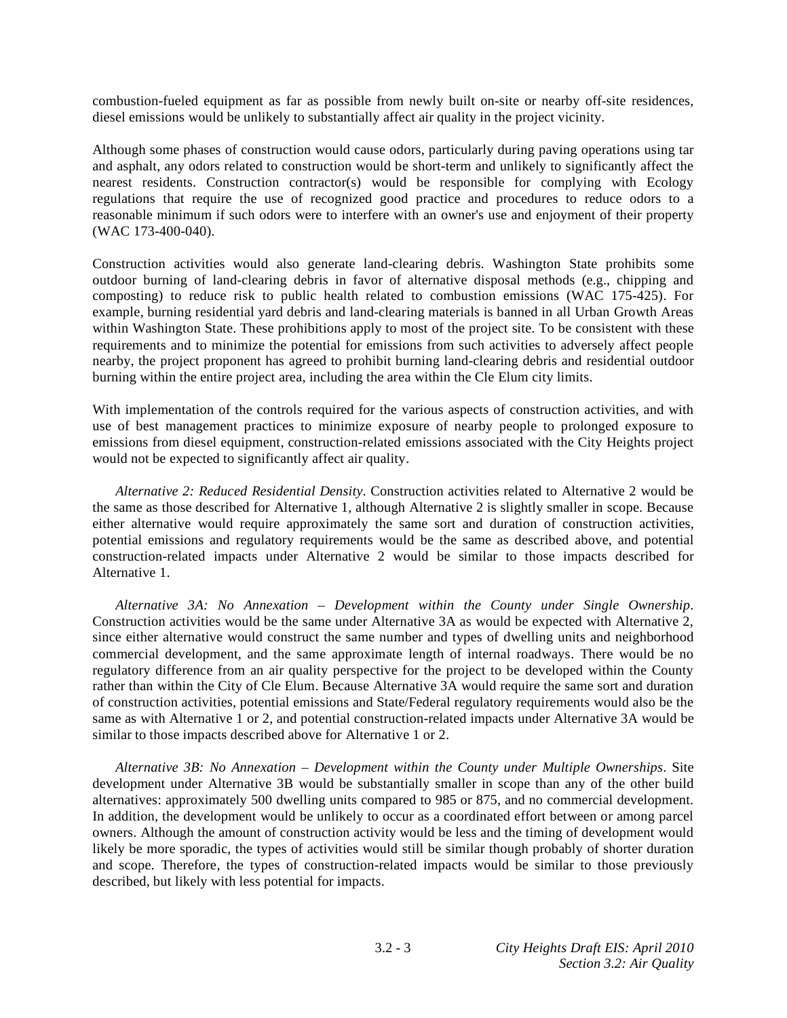combustion-fueled equipment as far as possible from newly built on-site or nearby off-site residences, diesel emissions would be unlikely to substantially affect air quality in the project vicinity.

Although some phases of construction would cause odors, particularly during paving operations using tar and asphalt, any odors related to construction would be short-term and unlikely to significantly affect the nearest residents. Construction contractor(s) would be responsible for complying with Ecology regulations that require the use of recognized good practice and procedures to reduce odors to a reasonable minimum if such odors were to interfere with an owner's use and enjoyment of their property (WAC 173-400-040).

Construction activities would also generate land-clearing debris. Washington State prohibits some outdoor burning of land-clearing debris in favor of alternative disposal methods (e.g., chipping and composting) to reduce risk to public health related to combustion emissions (WAC 175-425). For example, burning residential yard debris and land-clearing materials is banned in all Urban Growth Areas within Washington State. These prohibitions apply to most of the project site. To be consistent with these requirements and to minimize the potential for emissions from such activities to adversely affect people nearby, the project proponent has agreed to prohibit burning land-clearing debris and residential outdoor burning within the entire project area, including the area within the Cle Elum city limits.

With implementation of the controls required for the various aspects of construction activities, and with use of best management practices to minimize exposure of nearby people to prolonged exposure to emissions from diesel equipment, construction-related emissions associated with the City Heights project would not be expected to significantly affect air quality.

*Alternative 2: Reduced Residential Density*. Construction activities related to Alternative 2 would be the same as those described for Alternative 1, although Alternative 2 is slightly smaller in scope. Because either alternative would require approximately the same sort and duration of construction activities, potential emissions and regulatory requirements would be the same as described above, and potential construction-related impacts under Alternative 2 would be similar to those impacts described for Alternative 1.

*Alternative 3A: No Annexation – Development within the County under Single Ownership*. Construction activities would be the same under Alternative 3A as would be expected with Alternative 2, since either alternative would construct the same number and types of dwelling units and neighborhood commercial development, and the same approximate length of internal roadways. There would be no regulatory difference from an air quality perspective for the project to be developed within the County rather than within the City of Cle Elum. Because Alternative 3A would require the same sort and duration of construction activities, potential emissions and State/Federal regulatory requirements would also be the same as with Alternative 1 or 2, and potential construction-related impacts under Alternative 3A would be similar to those impacts described above for Alternative 1 or 2.

 *Alternative 3B: No Annexation – Development within the County under Multiple Ownerships*. Site development under Alternative 3B would be substantially smaller in scope than any of the other build alternatives: approximately 500 dwelling units compared to 985 or 875, and no commercial development. In addition, the development would be unlikely to occur as a coordinated effort between or among parcel owners. Although the amount of construction activity would be less and the timing of development would likely be more sporadic, the types of activities would still be similar though probably of shorter duration and scope. Therefore, the types of construction-related impacts would be similar to those previously described, but likely with less potential for impacts.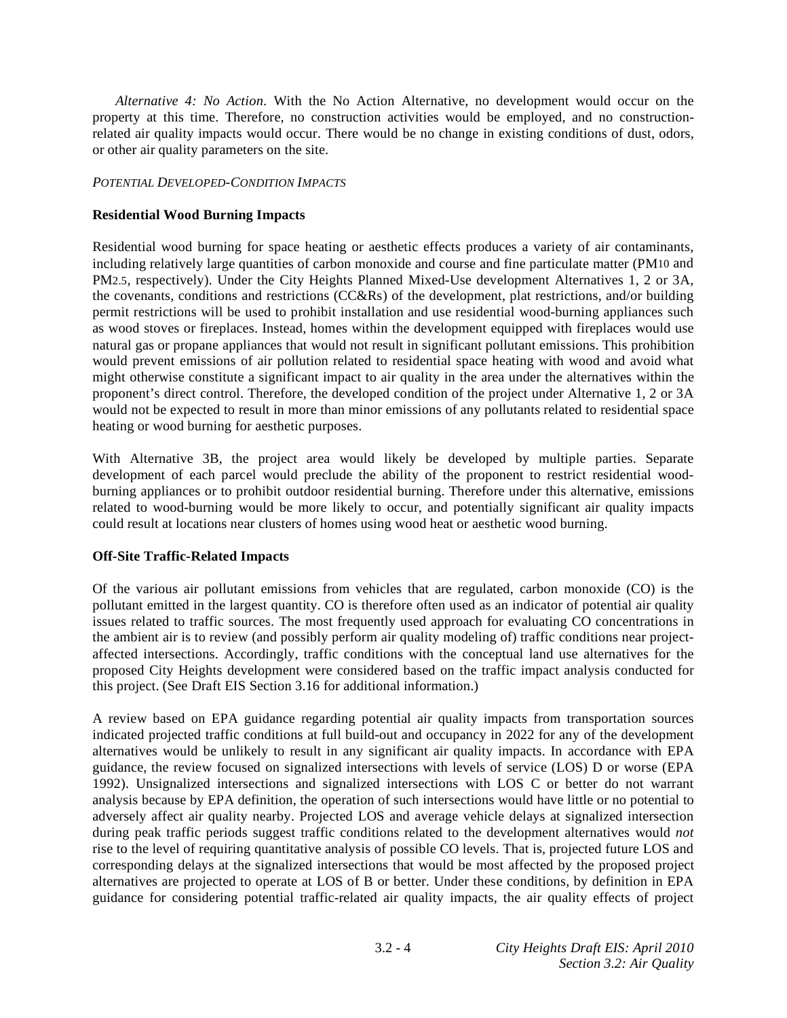*Alternative 4: No Action*. With the No Action Alternative, no development would occur on the property at this time. Therefore, no construction activities would be employed, and no constructionrelated air quality impacts would occur. There would be no change in existing conditions of dust, odors, or other air quality parameters on the site.

### *POTENTIAL DEVELOPED-CONDITION IMPACTS*

## **Residential Wood Burning Impacts**

Residential wood burning for space heating or aesthetic effects produces a variety of air contaminants, including relatively large quantities of carbon monoxide and course and fine particulate matter (PM10 and PM2.5, respectively). Under the City Heights Planned Mixed-Use development Alternatives 1, 2 or 3A, the covenants, conditions and restrictions (CC&Rs) of the development, plat restrictions, and/or building permit restrictions will be used to prohibit installation and use residential wood-burning appliances such as wood stoves or fireplaces. Instead, homes within the development equipped with fireplaces would use natural gas or propane appliances that would not result in significant pollutant emissions. This prohibition would prevent emissions of air pollution related to residential space heating with wood and avoid what might otherwise constitute a significant impact to air quality in the area under the alternatives within the proponent's direct control. Therefore, the developed condition of the project under Alternative 1, 2 or 3A would not be expected to result in more than minor emissions of any pollutants related to residential space heating or wood burning for aesthetic purposes.

With Alternative 3B, the project area would likely be developed by multiple parties. Separate development of each parcel would preclude the ability of the proponent to restrict residential woodburning appliances or to prohibit outdoor residential burning. Therefore under this alternative, emissions related to wood-burning would be more likely to occur, and potentially significant air quality impacts could result at locations near clusters of homes using wood heat or aesthetic wood burning.

### **Off-Site Traffic-Related Impacts**

Of the various air pollutant emissions from vehicles that are regulated, carbon monoxide (CO) is the pollutant emitted in the largest quantity. CO is therefore often used as an indicator of potential air quality issues related to traffic sources. The most frequently used approach for evaluating CO concentrations in the ambient air is to review (and possibly perform air quality modeling of) traffic conditions near projectaffected intersections. Accordingly, traffic conditions with the conceptual land use alternatives for the proposed City Heights development were considered based on the traffic impact analysis conducted for this project. (See Draft EIS Section 3.16 for additional information.)

A review based on EPA guidance regarding potential air quality impacts from transportation sources indicated projected traffic conditions at full build-out and occupancy in 2022 for any of the development alternatives would be unlikely to result in any significant air quality impacts. In accordance with EPA guidance, the review focused on signalized intersections with levels of service (LOS) D or worse (EPA 1992). Unsignalized intersections and signalized intersections with LOS C or better do not warrant analysis because by EPA definition, the operation of such intersections would have little or no potential to adversely affect air quality nearby. Projected LOS and average vehicle delays at signalized intersection during peak traffic periods suggest traffic conditions related to the development alternatives would *not* rise to the level of requiring quantitative analysis of possible CO levels. That is, projected future LOS and corresponding delays at the signalized intersections that would be most affected by the proposed project alternatives are projected to operate at LOS of B or better. Under these conditions, by definition in EPA guidance for considering potential traffic-related air quality impacts, the air quality effects of project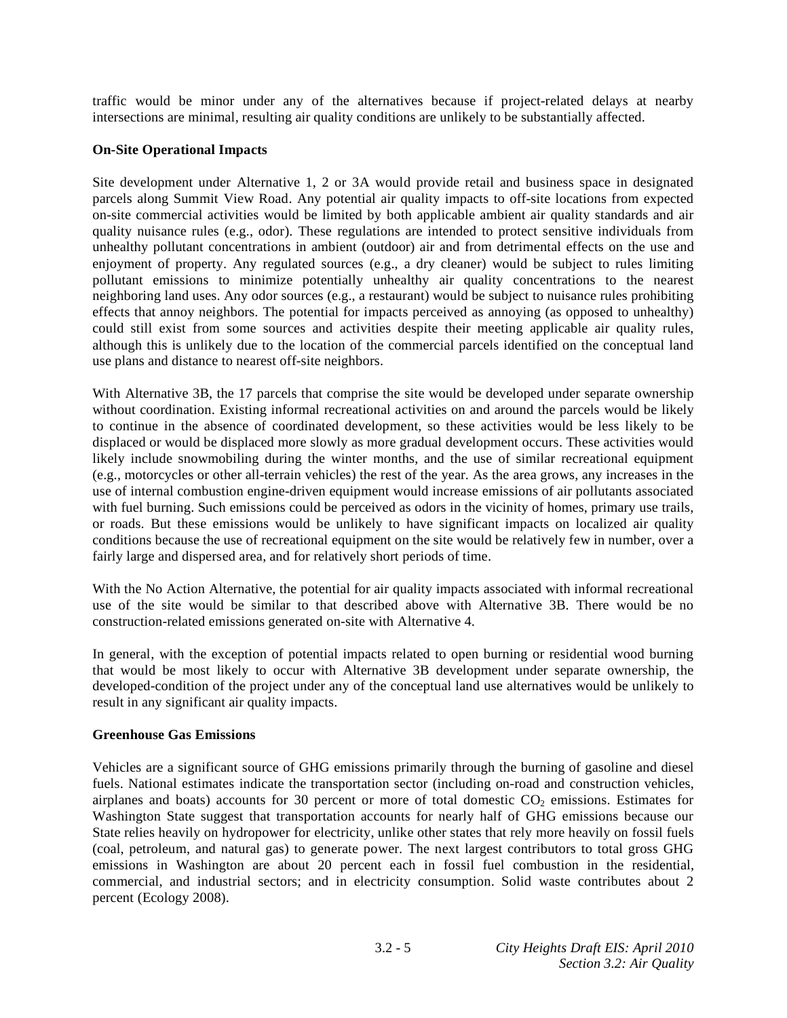traffic would be minor under any of the alternatives because if project-related delays at nearby intersections are minimal, resulting air quality conditions are unlikely to be substantially affected.

## **On-Site Operational Impacts**

Site development under Alternative 1, 2 or 3A would provide retail and business space in designated parcels along Summit View Road. Any potential air quality impacts to off-site locations from expected on-site commercial activities would be limited by both applicable ambient air quality standards and air quality nuisance rules (e.g., odor). These regulations are intended to protect sensitive individuals from unhealthy pollutant concentrations in ambient (outdoor) air and from detrimental effects on the use and enjoyment of property. Any regulated sources (e.g., a dry cleaner) would be subject to rules limiting pollutant emissions to minimize potentially unhealthy air quality concentrations to the nearest neighboring land uses. Any odor sources (e.g., a restaurant) would be subject to nuisance rules prohibiting effects that annoy neighbors. The potential for impacts perceived as annoying (as opposed to unhealthy) could still exist from some sources and activities despite their meeting applicable air quality rules, although this is unlikely due to the location of the commercial parcels identified on the conceptual land use plans and distance to nearest off-site neighbors.

With Alternative 3B, the 17 parcels that comprise the site would be developed under separate ownership without coordination. Existing informal recreational activities on and around the parcels would be likely to continue in the absence of coordinated development, so these activities would be less likely to be displaced or would be displaced more slowly as more gradual development occurs. These activities would likely include snowmobiling during the winter months, and the use of similar recreational equipment (e.g., motorcycles or other all-terrain vehicles) the rest of the year. As the area grows, any increases in the use of internal combustion engine-driven equipment would increase emissions of air pollutants associated with fuel burning. Such emissions could be perceived as odors in the vicinity of homes, primary use trails, or roads. But these emissions would be unlikely to have significant impacts on localized air quality conditions because the use of recreational equipment on the site would be relatively few in number, over a fairly large and dispersed area, and for relatively short periods of time.

With the No Action Alternative, the potential for air quality impacts associated with informal recreational use of the site would be similar to that described above with Alternative 3B. There would be no construction-related emissions generated on-site with Alternative 4.

In general, with the exception of potential impacts related to open burning or residential wood burning that would be most likely to occur with Alternative 3B development under separate ownership, the developed-condition of the project under any of the conceptual land use alternatives would be unlikely to result in any significant air quality impacts.

### **Greenhouse Gas Emissions**

Vehicles are a significant source of GHG emissions primarily through the burning of gasoline and diesel fuels. National estimates indicate the transportation sector (including on-road and construction vehicles, airplanes and boats) accounts for 30 percent or more of total domestic  $CO<sub>2</sub>$  emissions. Estimates for Washington State suggest that transportation accounts for nearly half of GHG emissions because our State relies heavily on hydropower for electricity, unlike other states that rely more heavily on fossil fuels (coal, petroleum, and natural gas) to generate power. The next largest contributors to total gross GHG emissions in Washington are about 20 percent each in fossil fuel combustion in the residential, commercial, and industrial sectors; and in electricity consumption. Solid waste contributes about 2 percent (Ecology 2008).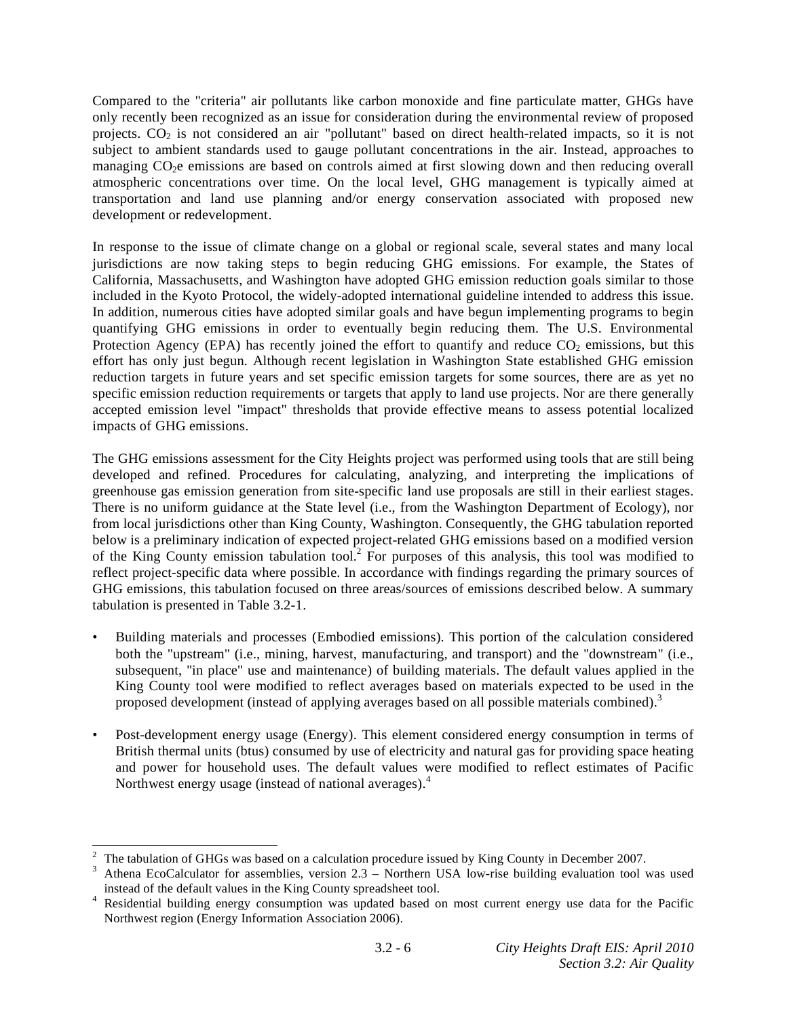Compared to the "criteria" air pollutants like carbon monoxide and fine particulate matter, GHGs have only recently been recognized as an issue for consideration during the environmental review of proposed projects. CO2 is not considered an air "pollutant" based on direct health-related impacts, so it is not subject to ambient standards used to gauge pollutant concentrations in the air. Instead, approaches to managing CO2e emissions are based on controls aimed at first slowing down and then reducing overall atmospheric concentrations over time. On the local level, GHG management is typically aimed at transportation and land use planning and/or energy conservation associated with proposed new development or redevelopment.

In response to the issue of climate change on a global or regional scale, several states and many local jurisdictions are now taking steps to begin reducing GHG emissions. For example, the States of California, Massachusetts, and Washington have adopted GHG emission reduction goals similar to those included in the Kyoto Protocol, the widely-adopted international guideline intended to address this issue. In addition, numerous cities have adopted similar goals and have begun implementing programs to begin quantifying GHG emissions in order to eventually begin reducing them. The U.S. Environmental Protection Agency (EPA) has recently joined the effort to quantify and reduce  $CO<sub>2</sub>$  emissions, but this effort has only just begun. Although recent legislation in Washington State established GHG emission reduction targets in future years and set specific emission targets for some sources, there are as yet no specific emission reduction requirements or targets that apply to land use projects. Nor are there generally accepted emission level "impact" thresholds that provide effective means to assess potential localized impacts of GHG emissions.

The GHG emissions assessment for the City Heights project was performed using tools that are still being developed and refined. Procedures for calculating, analyzing, and interpreting the implications of greenhouse gas emission generation from site-specific land use proposals are still in their earliest stages. There is no uniform guidance at the State level (i.e., from the Washington Department of Ecology), nor from local jurisdictions other than King County, Washington. Consequently, the GHG tabulation reported below is a preliminary indication of expected project-related GHG emissions based on a modified version of the King County emission tabulation tool.<sup>2</sup> For purposes of this analysis, this tool was modified to reflect project-specific data where possible. In accordance with findings regarding the primary sources of GHG emissions, this tabulation focused on three areas/sources of emissions described below. A summary tabulation is presented in Table 3.2-1.

- Building materials and processes (Embodied emissions). This portion of the calculation considered both the "upstream" (i.e., mining, harvest, manufacturing, and transport) and the "downstream" (i.e., subsequent, "in place" use and maintenance) of building materials. The default values applied in the King County tool were modified to reflect averages based on materials expected to be used in the proposed development (instead of applying averages based on all possible materials combined).<sup>3</sup>
- Post-development energy usage (Energy). This element considered energy consumption in terms of British thermal units (btus) consumed by use of electricity and natural gas for providing space heating and power for household uses. The default values were modified to reflect estimates of Pacific Northwest energy usage (instead of national averages).<sup>4</sup>

<sup>1</sup> 2 The tabulation of GHGs was based on a calculation procedure issued by King County in December 2007.

<sup>3</sup> Athena EcoCalculator for assemblies, version 2.3 – Northern USA low-rise building evaluation tool was used instead of the default values in the King County spreadsheet tool. instead of the default values in the King County spreadsheet tool.<br><sup>4</sup> Residential building energy consumption was updated based on most current energy use data for the Pacific

Northwest region (Energy Information Association 2006).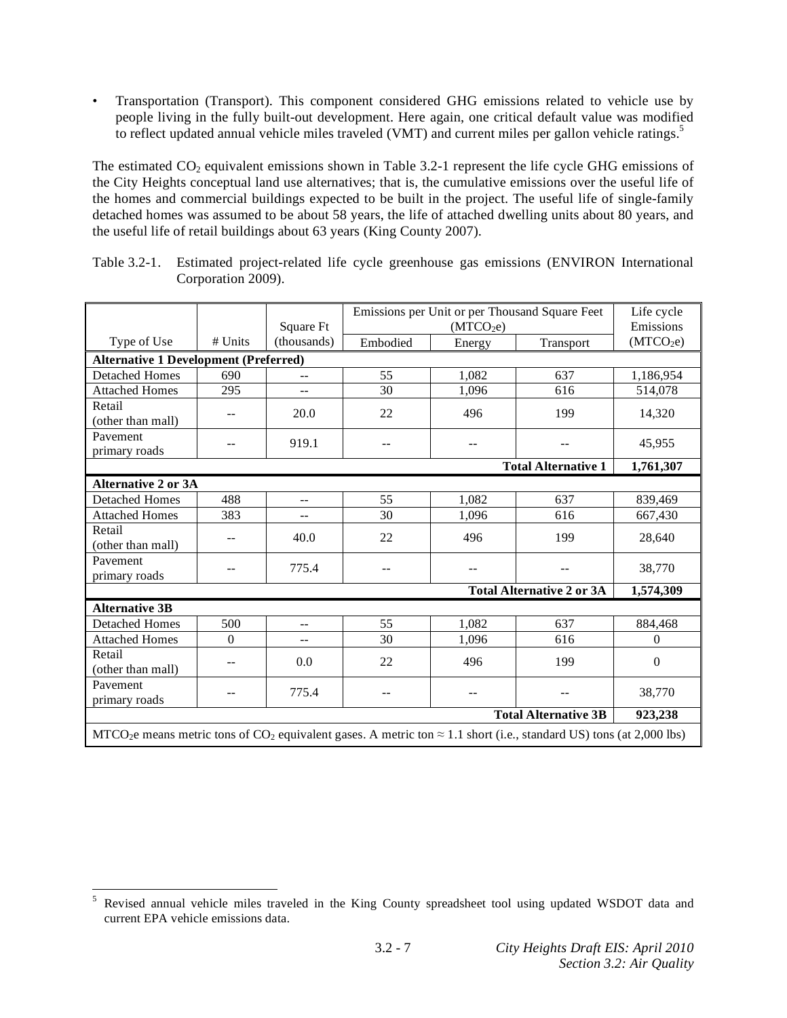• Transportation (Transport). This component considered GHG emissions related to vehicle use by people living in the fully built-out development. Here again, one critical default value was modified to reflect updated annual vehicle miles traveled (VMT) and current miles per gallon vehicle ratings.<sup>5</sup>

The estimated  $CO<sub>2</sub>$  equivalent emissions shown in Table 3.2-1 represent the life cycle GHG emissions of the City Heights conceptual land use alternatives; that is, the cumulative emissions over the useful life of the homes and commercial buildings expected to be built in the project. The useful life of single-family detached homes was assumed to be about 58 years, the life of attached dwelling units about 80 years, and the useful life of retail buildings about 63 years (King County 2007).

|                                                                                                                                                     |          |                          | Emissions per Unit or per Thousand Square Feet |        |           | Life cycle            |
|-----------------------------------------------------------------------------------------------------------------------------------------------------|----------|--------------------------|------------------------------------------------|--------|-----------|-----------------------|
|                                                                                                                                                     |          | Square Ft                | (MTCO <sub>2</sub> e)                          |        |           | Emissions             |
| Type of Use                                                                                                                                         | # Units  | (thousands)              | Embodied                                       | Energy | Transport | (MTCO <sub>2</sub> e) |
| <b>Alternative 1 Development (Preferred)</b>                                                                                                        |          |                          |                                                |        |           |                       |
| <b>Detached Homes</b>                                                                                                                               | 690      | $-$                      | 55                                             | 1,082  | 637       | 1,186,954             |
| <b>Attached Homes</b>                                                                                                                               | 295      | --                       | 30                                             | 1,096  | 616       | 514,078               |
| Retail<br>(other than mall)                                                                                                                         |          | 20.0                     | 22                                             | 496    | 199       | 14,320                |
| Pavement<br>primary roads                                                                                                                           | --       | 919.1                    | $\overline{\phantom{a}}$                       | $-$    | --        | 45,955                |
| <b>Total Alternative 1</b>                                                                                                                          |          |                          |                                                |        |           | 1,761,307             |
| <b>Alternative 2 or 3A</b>                                                                                                                          |          |                          |                                                |        |           |                       |
| <b>Detached Homes</b>                                                                                                                               | 488      | $- -$                    | 55                                             | 1,082  | 637       | 839,469               |
| <b>Attached Homes</b>                                                                                                                               | 383      | $- -$                    | 30                                             | 1,096  | 616       | 667,430               |
| Retail<br>(other than mall)                                                                                                                         |          | 40.0                     | 22                                             | 496    | 199       | 28,640                |
| Pavement<br>primary roads                                                                                                                           |          | 775.4                    | $-$                                            | $-$    |           | 38,770                |
|                                                                                                                                                     |          |                          | <b>Total Alternative 2 or 3A</b>               |        |           | 1,574,309             |
| <b>Alternative 3B</b>                                                                                                                               |          |                          |                                                |        |           |                       |
| <b>Detached Homes</b>                                                                                                                               | 500      | $\overline{\phantom{a}}$ | 55                                             | 1,082  | 637       | 884,468               |
| <b>Attached Homes</b>                                                                                                                               | $\Omega$ | $- -$                    | 30                                             | 1,096  | 616       | $\Omega$              |
| Retail<br>(other than mall)                                                                                                                         |          | 0.0                      | 22                                             | 496    | 199       | $\boldsymbol{0}$      |
| Pavement<br>primary roads                                                                                                                           |          | 775.4                    | --                                             | --     | --        | 38,770                |
| <b>Total Alternative 3B</b>                                                                                                                         |          |                          |                                                |        |           | 923,238               |
| MTCO <sub>2</sub> e means metric tons of CO <sub>2</sub> equivalent gases. A metric ton $\approx$ 1.1 short (i.e., standard US) tons (at 2,000 lbs) |          |                          |                                                |        |           |                       |

Table 3.2-1. Estimated project-related life cycle greenhouse gas emissions (ENVIRON International Corporation 2009).

 5 Revised annual vehicle miles traveled in the King County spreadsheet tool using updated WSDOT data and current EPA vehicle emissions data.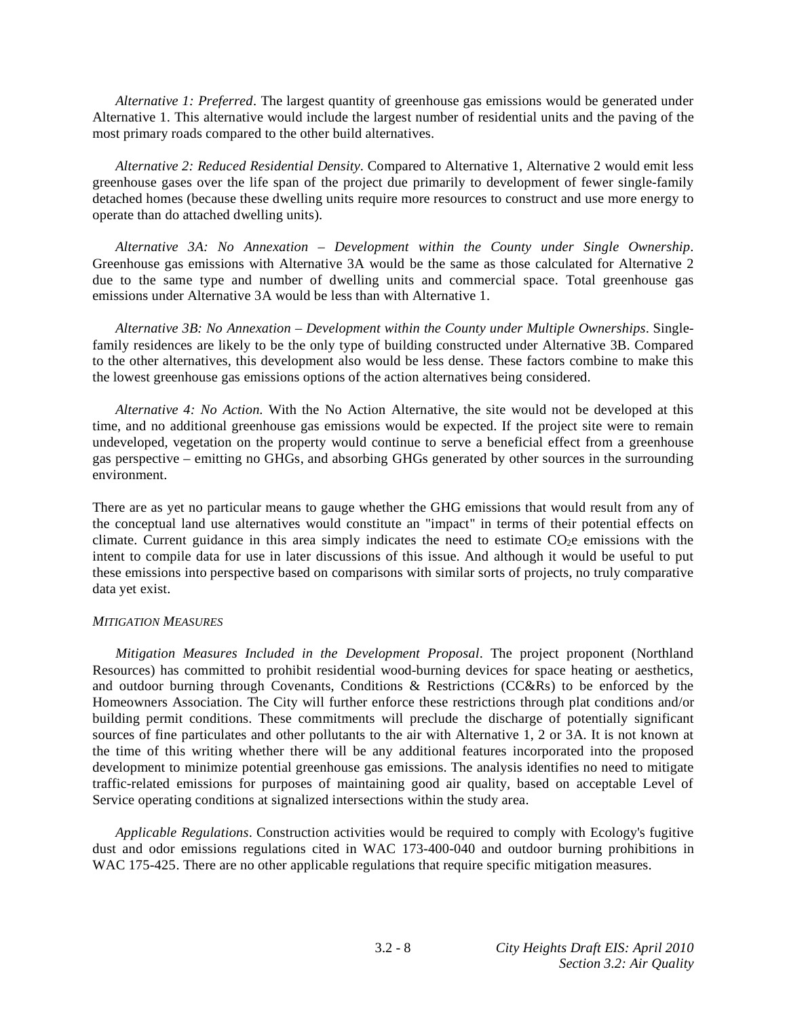*Alternative 1: Preferred*. The largest quantity of greenhouse gas emissions would be generated under Alternative 1. This alternative would include the largest number of residential units and the paving of the most primary roads compared to the other build alternatives.

*Alternative 2: Reduced Residential Density*. Compared to Alternative 1, Alternative 2 would emit less greenhouse gases over the life span of the project due primarily to development of fewer single-family detached homes (because these dwelling units require more resources to construct and use more energy to operate than do attached dwelling units).

*Alternative 3A: No Annexation – Development within the County under Single Ownership*. Greenhouse gas emissions with Alternative 3A would be the same as those calculated for Alternative 2 due to the same type and number of dwelling units and commercial space. Total greenhouse gas emissions under Alternative 3A would be less than with Alternative 1.

 *Alternative 3B: No Annexation – Development within the County under Multiple Ownerships*. Singlefamily residences are likely to be the only type of building constructed under Alternative 3B. Compared to the other alternatives, this development also would be less dense. These factors combine to make this the lowest greenhouse gas emissions options of the action alternatives being considered.

*Alternative 4: No Action.* With the No Action Alternative, the site would not be developed at this time, and no additional greenhouse gas emissions would be expected. If the project site were to remain undeveloped, vegetation on the property would continue to serve a beneficial effect from a greenhouse gas perspective – emitting no GHGs, and absorbing GHGs generated by other sources in the surrounding environment.

There are as yet no particular means to gauge whether the GHG emissions that would result from any of the conceptual land use alternatives would constitute an "impact" in terms of their potential effects on climate. Current guidance in this area simply indicates the need to estimate  $CO<sub>2</sub>e$  emissions with the intent to compile data for use in later discussions of this issue. And although it would be useful to put these emissions into perspective based on comparisons with similar sorts of projects, no truly comparative data yet exist.

#### *MITIGATION MEASURES*

*Mitigation Measures Included in the Development Proposal*. The project proponent (Northland Resources) has committed to prohibit residential wood-burning devices for space heating or aesthetics, and outdoor burning through Covenants, Conditions & Restrictions (CC&Rs) to be enforced by the Homeowners Association. The City will further enforce these restrictions through plat conditions and/or building permit conditions. These commitments will preclude the discharge of potentially significant sources of fine particulates and other pollutants to the air with Alternative 1, 2 or 3A. It is not known at the time of this writing whether there will be any additional features incorporated into the proposed development to minimize potential greenhouse gas emissions. The analysis identifies no need to mitigate traffic-related emissions for purposes of maintaining good air quality, based on acceptable Level of Service operating conditions at signalized intersections within the study area.

*Applicable Regulations*. Construction activities would be required to comply with Ecology's fugitive dust and odor emissions regulations cited in WAC 173-400-040 and outdoor burning prohibitions in WAC 175-425. There are no other applicable regulations that require specific mitigation measures.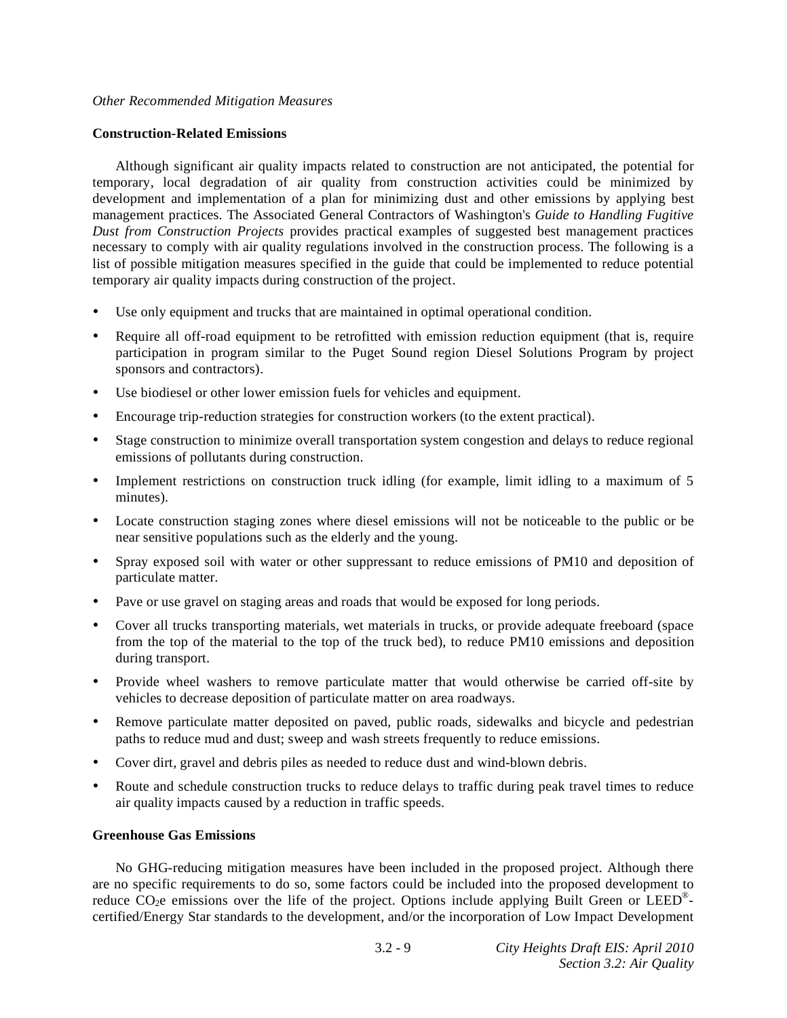#### *Other Recommended Mitigation Measures*

#### **Construction-Related Emissions**

 Although significant air quality impacts related to construction are not anticipated, the potential for temporary, local degradation of air quality from construction activities could be minimized by development and implementation of a plan for minimizing dust and other emissions by applying best management practices. The Associated General Contractors of Washington's *Guide to Handling Fugitive Dust from Construction Projects* provides practical examples of suggested best management practices necessary to comply with air quality regulations involved in the construction process. The following is a list of possible mitigation measures specified in the guide that could be implemented to reduce potential temporary air quality impacts during construction of the project.

- Use only equipment and trucks that are maintained in optimal operational condition.
- Require all off-road equipment to be retrofitted with emission reduction equipment (that is, require participation in program similar to the Puget Sound region Diesel Solutions Program by project sponsors and contractors).
- Use biodiesel or other lower emission fuels for vehicles and equipment.
- Encourage trip-reduction strategies for construction workers (to the extent practical).
- Stage construction to minimize overall transportation system congestion and delays to reduce regional emissions of pollutants during construction.
- Implement restrictions on construction truck idling (for example, limit idling to a maximum of 5 minutes).
- Locate construction staging zones where diesel emissions will not be noticeable to the public or be near sensitive populations such as the elderly and the young.
- Spray exposed soil with water or other suppressant to reduce emissions of PM10 and deposition of particulate matter.
- Pave or use gravel on staging areas and roads that would be exposed for long periods.
- Cover all trucks transporting materials, wet materials in trucks, or provide adequate freeboard (space from the top of the material to the top of the truck bed), to reduce PM10 emissions and deposition during transport.
- Provide wheel washers to remove particulate matter that would otherwise be carried off-site by vehicles to decrease deposition of particulate matter on area roadways.
- Remove particulate matter deposited on paved, public roads, sidewalks and bicycle and pedestrian paths to reduce mud and dust; sweep and wash streets frequently to reduce emissions.
- Cover dirt, gravel and debris piles as needed to reduce dust and wind-blown debris.
- Route and schedule construction trucks to reduce delays to traffic during peak travel times to reduce air quality impacts caused by a reduction in traffic speeds.

### **Greenhouse Gas Emissions**

 No GHG-reducing mitigation measures have been included in the proposed project. Although there are no specific requirements to do so, some factors could be included into the proposed development to reduce CO<sub>2</sub>e emissions over the life of the project. Options include applying Built Green or LEED<sup>®</sup>certified/Energy Star standards to the development, and/or the incorporation of Low Impact Development